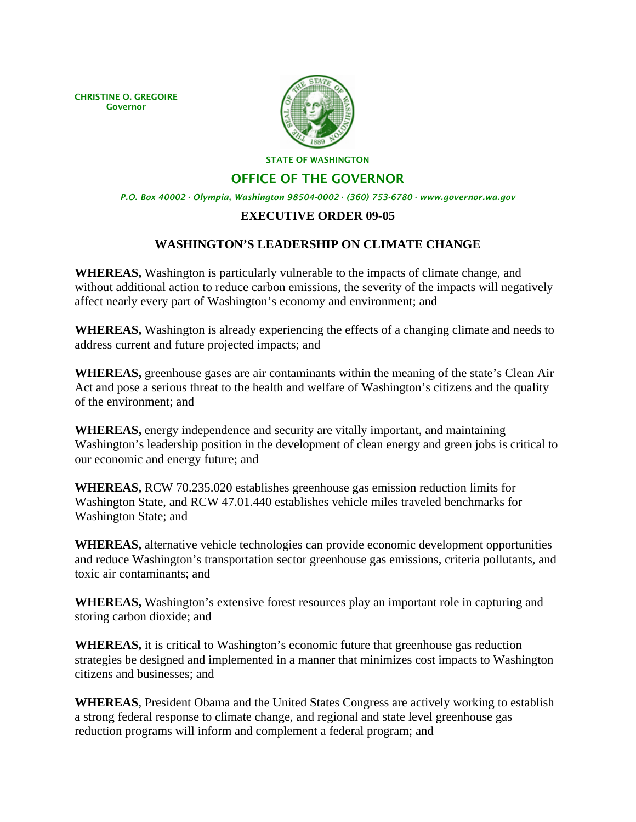CHRISTINE O. GREGOIRE Governor



STATE OF WASHINGTON

## OFFICE OF THE GOVERNOR

*P.O. Box 40002 · Olympia, Washington 98504-0002 · (360) 753-6780 · www.governor.wa.gov* 

## **EXECUTIVE ORDER 09-05**

## **WASHINGTON'S LEADERSHIP ON CLIMATE CHANGE**

**WHEREAS,** Washington is particularly vulnerable to the impacts of climate change, and without additional action to reduce carbon emissions, the severity of the impacts will negatively affect nearly every part of Washington's economy and environment; and

**WHEREAS,** Washington is already experiencing the effects of a changing climate and needs to address current and future projected impacts; and

**WHEREAS,** greenhouse gases are air contaminants within the meaning of the state's Clean Air Act and pose a serious threat to the health and welfare of Washington's citizens and the quality of the environment; and

**WHEREAS,** energy independence and security are vitally important, and maintaining Washington's leadership position in the development of clean energy and green jobs is critical to our economic and energy future; and

**WHEREAS,** RCW 70.235.020 establishes greenhouse gas emission reduction limits for Washington State, and RCW 47.01.440 establishes vehicle miles traveled benchmarks for Washington State; and

**WHEREAS,** alternative vehicle technologies can provide economic development opportunities and reduce Washington's transportation sector greenhouse gas emissions, criteria pollutants, and toxic air contaminants; and

**WHEREAS,** Washington's extensive forest resources play an important role in capturing and storing carbon dioxide; and

**WHEREAS,** it is critical to Washington's economic future that greenhouse gas reduction strategies be designed and implemented in a manner that minimizes cost impacts to Washington citizens and businesses; and

**WHEREAS**, President Obama and the United States Congress are actively working to establish a strong federal response to climate change, and regional and state level greenhouse gas reduction programs will inform and complement a federal program; and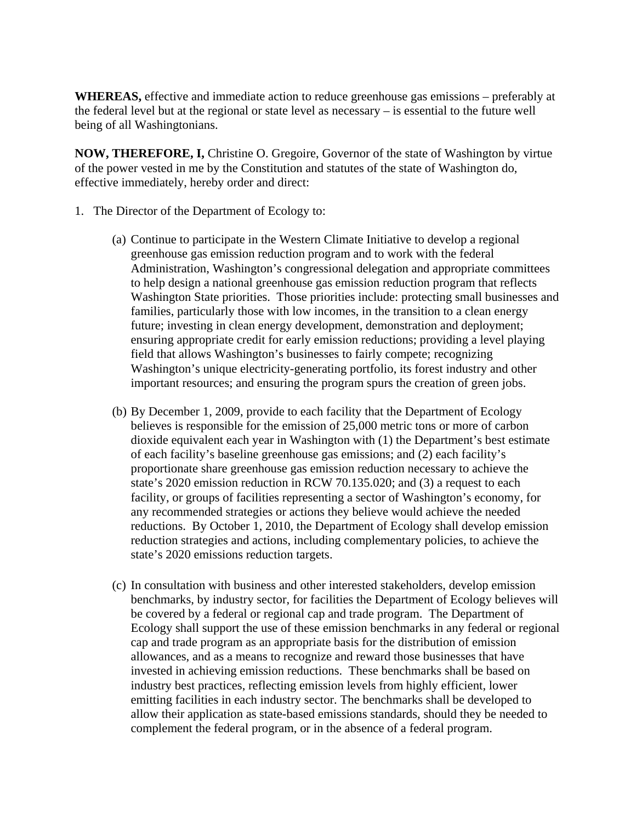**WHEREAS,** effective and immediate action to reduce greenhouse gas emissions – preferably at the federal level but at the regional or state level as necessary – is essential to the future well being of all Washingtonians.

**NOW, THEREFORE, I,** Christine O. Gregoire, Governor of the state of Washington by virtue of the power vested in me by the Constitution and statutes of the state of Washington do, effective immediately, hereby order and direct:

- 1. The Director of the Department of Ecology to:
	- (a) Continue to participate in the Western Climate Initiative to develop a regional greenhouse gas emission reduction program and to work with the federal Administration, Washington's congressional delegation and appropriate committees to help design a national greenhouse gas emission reduction program that reflects Washington State priorities. Those priorities include: protecting small businesses and families, particularly those with low incomes, in the transition to a clean energy future; investing in clean energy development, demonstration and deployment; ensuring appropriate credit for early emission reductions; providing a level playing field that allows Washington's businesses to fairly compete; recognizing Washington's unique electricity-generating portfolio, its forest industry and other important resources; and ensuring the program spurs the creation of green jobs.
	- (b) By December 1, 2009, provide to each facility that the Department of Ecology believes is responsible for the emission of 25,000 metric tons or more of carbon dioxide equivalent each year in Washington with (1) the Department's best estimate of each facility's baseline greenhouse gas emissions; and (2) each facility's proportionate share greenhouse gas emission reduction necessary to achieve the state's 2020 emission reduction in RCW 70.135.020; and (3) a request to each facility, or groups of facilities representing a sector of Washington's economy, for any recommended strategies or actions they believe would achieve the needed reductions. By October 1, 2010, the Department of Ecology shall develop emission reduction strategies and actions, including complementary policies, to achieve the state's 2020 emissions reduction targets.
	- (c) In consultation with business and other interested stakeholders, develop emission benchmarks, by industry sector, for facilities the Department of Ecology believes will be covered by a federal or regional cap and trade program. The Department of Ecology shall support the use of these emission benchmarks in any federal or regional cap and trade program as an appropriate basis for the distribution of emission allowances, and as a means to recognize and reward those businesses that have invested in achieving emission reductions. These benchmarks shall be based on industry best practices, reflecting emission levels from highly efficient, lower emitting facilities in each industry sector. The benchmarks shall be developed to allow their application as state-based emissions standards, should they be needed to complement the federal program, or in the absence of a federal program.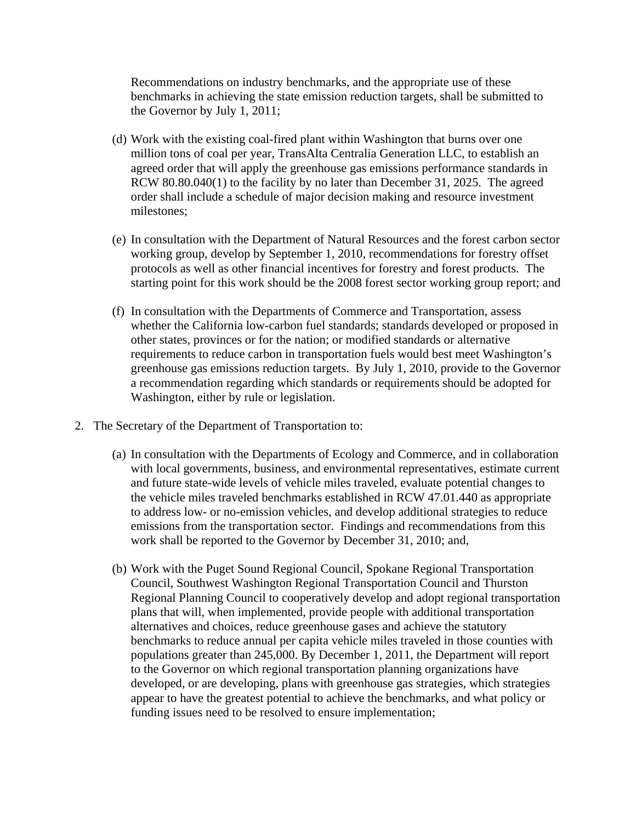Recommendations on industry benchmarks, and the appropriate use of these benchmarks in achieving the state emission reduction targets, shall be submitted to the Governor by July 1, 2011;

- (d) Work with the existing coal-fired plant within Washington that burns over one million tons of coal per year, TransAlta Centralia Generation LLC, to establish an agreed order that will apply the greenhouse gas emissions performance standards in RCW 80.80.040(1) to the facility by no later than December 31, 2025. The agreed order shall include a schedule of major decision making and resource investment milestones;
- (e) In consultation with the Department of Natural Resources and the forest carbon sector working group, develop by September 1, 2010, recommendations for forestry offset protocols as well as other financial incentives for forestry and forest products. The starting point for this work should be the 2008 forest sector working group report; and
- (f) In consultation with the Departments of Commerce and Transportation, assess whether the California low-carbon fuel standards; standards developed or proposed in other states, provinces or for the nation; or modified standards or alternative requirements to reduce carbon in transportation fuels would best meet Washington's greenhouse gas emissions reduction targets. By July 1, 2010, provide to the Governor a recommendation regarding which standards or requirements should be adopted for Washington, either by rule or legislation.
- 2. The Secretary of the Department of Transportation to:
	- (a) In consultation with the Departments of Ecology and Commerce, and in collaboration with local governments, business, and environmental representatives, estimate current and future state-wide levels of vehicle miles traveled, evaluate potential changes to the vehicle miles traveled benchmarks established in RCW 47.01.440 as appropriate to address low- or no-emission vehicles, and develop additional strategies to reduce emissions from the transportation sector. Findings and recommendations from this work shall be reported to the Governor by December 31, 2010; and,
	- (b) Work with the Puget Sound Regional Council, Spokane Regional Transportation Council, Southwest Washington Regional Transportation Council and Thurston Regional Planning Council to cooperatively develop and adopt regional transportation plans that will, when implemented, provide people with additional transportation alternatives and choices, reduce greenhouse gases and achieve the statutory benchmarks to reduce annual per capita vehicle miles traveled in those counties with populations greater than 245,000. By December 1, 2011, the Department will report to the Governor on which regional transportation planning organizations have developed, or are developing, plans with greenhouse gas strategies, which strategies appear to have the greatest potential to achieve the benchmarks, and what policy or funding issues need to be resolved to ensure implementation;